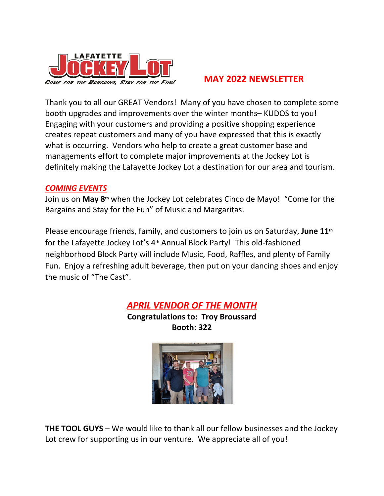

## **MAY 2022 NEWSLETTER**

Thank you to all our GREAT Vendors! Many of you have chosen to complete some booth upgrades and improvements over the winter months– KUDOS to you! Engaging with your customers and providing a positive shopping experience creates repeat customers and many of you have expressed that this is exactly what is occurring. Vendors who help to create a great customer base and managements effort to complete major improvements at the Jockey Lot is definitely making the Lafayette Jockey Lot a destination for our area and tourism.

## *COMING EVENTS*

Join us on **May 8th** when the Jockey Lot celebrates Cinco de Mayo! "Come for the Bargains and Stay for the Fun" of Music and Margaritas.

Please encourage friends, family, and customers to join us on Saturday, **June 11th** for the Lafayette Jockey Lot's 4th Annual Block Party! This old-fashioned neighborhood Block Party will include Music, Food, Raffles, and plenty of Family Fun. Enjoy a refreshing adult beverage, then put on your dancing shoes and enjoy the music of "The Cast".

# *APRIL VENDOR OF THE MONTH*

**Congratulations to: Troy Broussard Booth: 322**



**THE TOOL GUYS** – We would like to thank all our fellow businesses and the Jockey Lot crew for supporting us in our venture. We appreciate all of you!